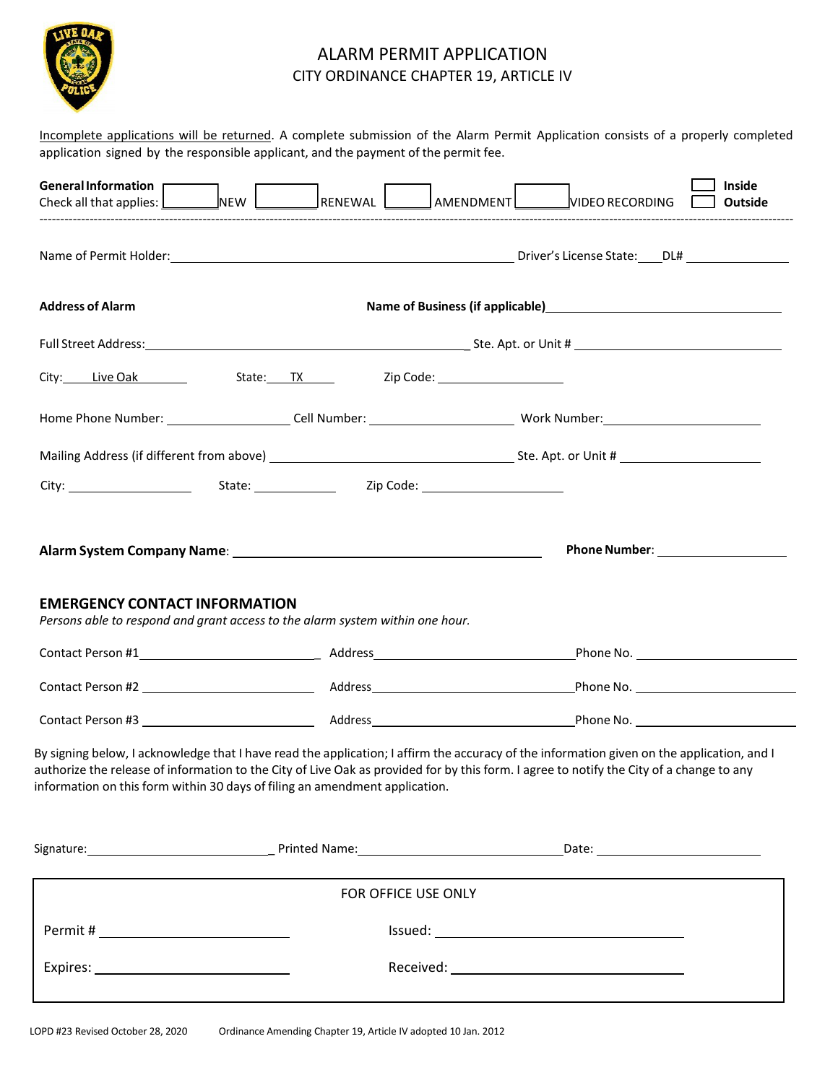

# ALARM PERMIT APPLICATION CITY ORDINANCE CHAPTER 19, ARTICLE IV

Incomplete applications will be returned. A complete submission of the Alarm Permit Application consists of a properly completed application signed by the responsible applicant, and the payment of the permit fee.

| General Information                                                                                                                                                                                                                                                                                                                                                   |                                                                                                                | RENEWAL | AMENDMENT VIDEO RECORDING                                                   |  | <b>Inside</b><br>Outside |  |
|-----------------------------------------------------------------------------------------------------------------------------------------------------------------------------------------------------------------------------------------------------------------------------------------------------------------------------------------------------------------------|----------------------------------------------------------------------------------------------------------------|---------|-----------------------------------------------------------------------------|--|--------------------------|--|
|                                                                                                                                                                                                                                                                                                                                                                       |                                                                                                                |         |                                                                             |  |                          |  |
| <b>Address of Alarm</b>                                                                                                                                                                                                                                                                                                                                               |                                                                                                                |         | Name of Business (if applicable)<br><u>Name</u> of Business (if applicable) |  |                          |  |
|                                                                                                                                                                                                                                                                                                                                                                       |                                                                                                                |         |                                                                             |  |                          |  |
| City: Live Oak Live Only                                                                                                                                                                                                                                                                                                                                              |                                                                                                                |         | State: TX Zip Code: 2000 Extractor 2014                                     |  |                          |  |
|                                                                                                                                                                                                                                                                                                                                                                       | Home Phone Number: _______________________Cell Number: __________________________ Work Number: _______________ |         |                                                                             |  |                          |  |
|                                                                                                                                                                                                                                                                                                                                                                       |                                                                                                                |         |                                                                             |  |                          |  |
|                                                                                                                                                                                                                                                                                                                                                                       |                                                                                                                |         |                                                                             |  |                          |  |
|                                                                                                                                                                                                                                                                                                                                                                       |                                                                                                                |         |                                                                             |  |                          |  |
| <b>EMERGENCY CONTACT INFORMATION</b><br>Persons able to respond and grant access to the alarm system within one hour.                                                                                                                                                                                                                                                 |                                                                                                                |         |                                                                             |  |                          |  |
|                                                                                                                                                                                                                                                                                                                                                                       |                                                                                                                |         |                                                                             |  |                          |  |
|                                                                                                                                                                                                                                                                                                                                                                       |                                                                                                                |         |                                                                             |  |                          |  |
| By signing below, I acknowledge that I have read the application; I affirm the accuracy of the information given on the application, and I<br>authorize the release of information to the City of Live Oak as provided for by this form. I agree to notify the City of a change to any<br>information on this form within 30 days of filing an amendment application. |                                                                                                                |         |                                                                             |  |                          |  |
|                                                                                                                                                                                                                                                                                                                                                                       |                                                                                                                |         |                                                                             |  |                          |  |
|                                                                                                                                                                                                                                                                                                                                                                       |                                                                                                                |         | FOR OFFICE USE ONLY                                                         |  |                          |  |
|                                                                                                                                                                                                                                                                                                                                                                       |                                                                                                                |         |                                                                             |  |                          |  |
|                                                                                                                                                                                                                                                                                                                                                                       |                                                                                                                |         |                                                                             |  |                          |  |
|                                                                                                                                                                                                                                                                                                                                                                       |                                                                                                                |         |                                                                             |  |                          |  |